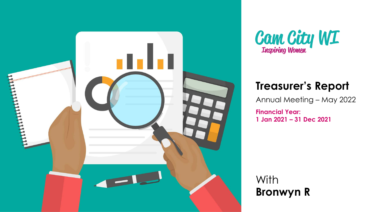



#### **Treasurer's Report**

Annual Meeting – May 2022

**Financial Year: 1 Jan 2021 – 31 Dec 2021**

**With Bronwyn R**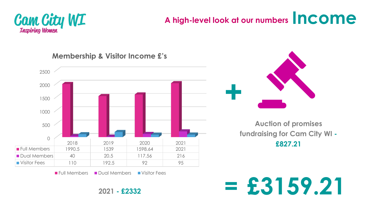

### **A high-level look at our numbers Income**



**Membership & Visitor Income £'s**





**Auction of promises fundraising for Cam City WI - £827.21**

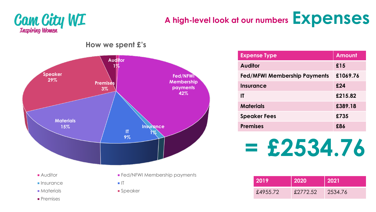# **Cam City WI**

**Premises** 

### **A high-level look at our numbers Expenses**

**Auditor 1% Fed/NFWI Membership payments 42% Insurance IT 1% 9% Materials 15% Speaker 29% Premises 3% Auditor Fed/NFWI Membership payments**  $\blacksquare$  Insurance  $\blacksquare$  IT **Materials Materials Speaker** 

**How we spent £'s**

**Expense Type**  Amount **Auditor £15 Fed/MFWI Membership Payments £1069.76 Insurance £24 IT £215.82 Materials £389.18 Speaker Fees £735 Premises £86**

**= £2534.76**

| <b>2019</b> | 2020     | 2021    |  |  |
|-------------|----------|---------|--|--|
| £4955.72    | £2772.52 | 2534.76 |  |  |